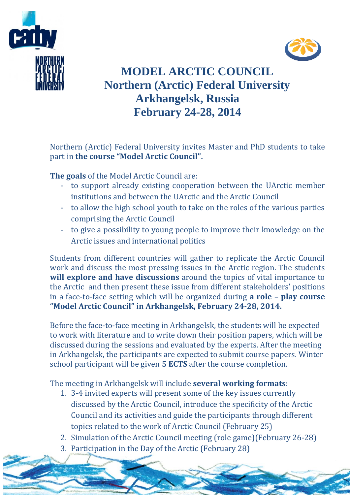



## **MODEL ARCTIC COUNCIL Northern (Arctic) Federal University Arkhangelsk, Russia February 24-28, 2014**

Northern (Arctic) Federal University invites Master and PhD students to take part in **the course "Model Arctic Council".**

**The goals** of the Model Arctic Council are:

- to support already existing cooperation between the UArctic member institutions and between the UArctic and the Arctic Council
- to allow the high school youth to take on the roles of the various parties comprising the Arctic Council
- to give a possibility to young people to improve their knowledge on the Arctic issues and international politics

Students from different countries will gather to replicate the Arctic Council work and discuss the most pressing issues in the Arctic region. The students **will explore and have discussions** around the topics of vital importance to the Arctic and then present these issue from different stakeholders' positions in a face-to-face setting which will be organized during **a role – play course "Model Arctic Council" in Arkhangelsk, February 24-28, 2014.** 

Before the face-to-face meeting in Arkhangelsk, the students will be expected to work with literature and to write down their position papers, which will be discussed during the sessions and evaluated by the experts. After the meeting in Arkhangelsk, the participants are expected to submit course papers. Winter school participant will be given **5 ECTS** after the course completion.

The meeting in Arkhangelsk will include **several working formats**:

- 1. 3-4 invited experts will present some of the key issues currently discussed by the Arctic Council, introduce the specificity of the Arctic Council and its activities and guide the participants through different topics related to the work of Arctic Council (February 25)
- 2. Simulation of the Arctic Council meeting (role game)(February 26-28)
- 3. Participation in the Day of the Arctic (February 28)